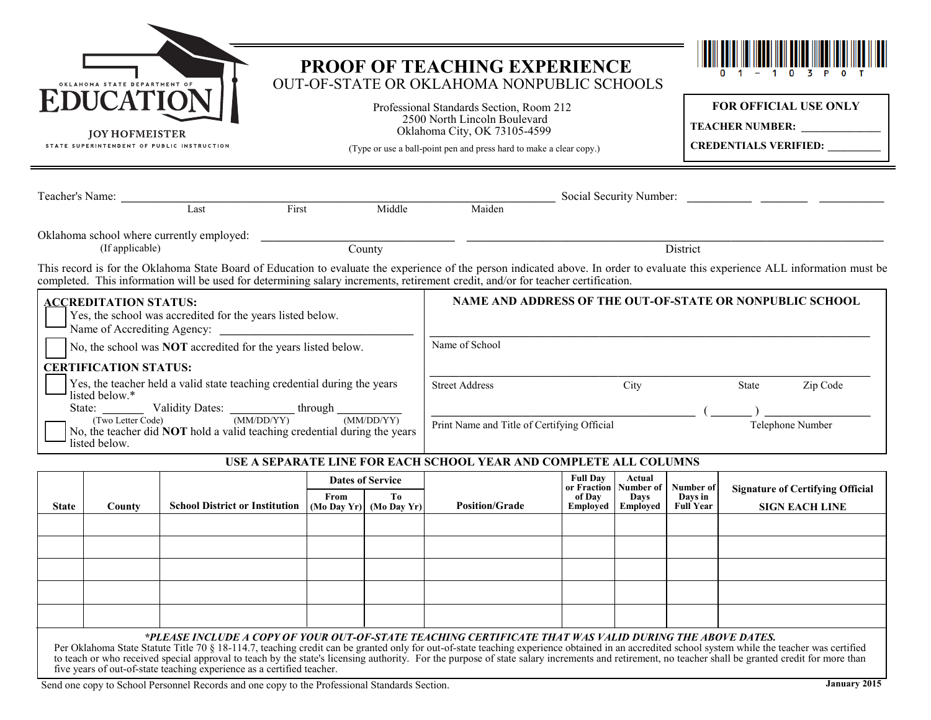| 1A STATE DEPARTMENT OF<br><b>EDUCATION</b><br><b>JOY HOFMEISTER</b><br>STATE SUPERINTENDENT OF PUBLIC INSTRUCTION                                                                                                                   |                                                                                                                                                  |                                                                                                                                                                                                                                                                                                                     |                                                                                                                                                                                                                                                                                                                                                                   | PROOF OF TEACHING EXPERIENCE<br>OUT-OF-STATE OR OKLAHOMA NONPUBLIC SCHOOLS<br>Professional Standards Section, Room 212<br>2500 North Lincoln Boulevard<br>Oklahoma City, OK 73105-4599<br>(Type or use a ball-point pen and press hard to make a clear copy.) |                                                                   |  |  | FOR OFFICIAL USE ONLY<br>TEACHER NUMBER:<br><b>CREDENTIALS VERIFIED:</b> |  |                                                          |  |
|-------------------------------------------------------------------------------------------------------------------------------------------------------------------------------------------------------------------------------------|--------------------------------------------------------------------------------------------------------------------------------------------------|---------------------------------------------------------------------------------------------------------------------------------------------------------------------------------------------------------------------------------------------------------------------------------------------------------------------|-------------------------------------------------------------------------------------------------------------------------------------------------------------------------------------------------------------------------------------------------------------------------------------------------------------------------------------------------------------------|---------------------------------------------------------------------------------------------------------------------------------------------------------------------------------------------------------------------------------------------------------------|-------------------------------------------------------------------|--|--|--------------------------------------------------------------------------|--|----------------------------------------------------------|--|
|                                                                                                                                                                                                                                     |                                                                                                                                                  |                                                                                                                                                                                                                                                                                                                     | Teacher's Name: Last First<br>Middle<br>Maiden                                                                                                                                                                                                                                                                                                                    |                                                                                                                                                                                                                                                               |                                                                   |  |  |                                                                          |  |                                                          |  |
|                                                                                                                                                                                                                                     | County<br>District<br>(If applicable)                                                                                                            |                                                                                                                                                                                                                                                                                                                     |                                                                                                                                                                                                                                                                                                                                                                   |                                                                                                                                                                                                                                                               |                                                                   |  |  |                                                                          |  |                                                          |  |
|                                                                                                                                                                                                                                     |                                                                                                                                                  | This record is for the Oklahoma State Board of Education to evaluate the experience of the person indicated above. In order to evaluate this experience ALL information must be<br>completed. This information will be used for determining salary increments, retirement credit, and/or for teacher certification. |                                                                                                                                                                                                                                                                                                                                                                   |                                                                                                                                                                                                                                                               |                                                                   |  |  |                                                                          |  |                                                          |  |
| <b>ACCREDITATION STATUS:</b><br>Yes, the school was accredited for the years listed below.                                                                                                                                          |                                                                                                                                                  |                                                                                                                                                                                                                                                                                                                     |                                                                                                                                                                                                                                                                                                                                                                   |                                                                                                                                                                                                                                                               |                                                                   |  |  |                                                                          |  | NAME AND ADDRESS OF THE OUT-OF-STATE OR NONPUBLIC SCHOOL |  |
|                                                                                                                                                                                                                                     | Name of School<br>No, the school was <b>NOT</b> accredited for the years listed below.<br><b>CERTIFICATION STATUS:</b>                           |                                                                                                                                                                                                                                                                                                                     |                                                                                                                                                                                                                                                                                                                                                                   |                                                                                                                                                                                                                                                               |                                                                   |  |  |                                                                          |  |                                                          |  |
|                                                                                                                                                                                                                                     | Yes, the teacher held a valid state teaching credential during the years<br><b>Street Address</b><br>City<br>Zip Code<br>State<br>listed below.* |                                                                                                                                                                                                                                                                                                                     |                                                                                                                                                                                                                                                                                                                                                                   |                                                                                                                                                                                                                                                               |                                                                   |  |  |                                                                          |  |                                                          |  |
| State: $\frac{\text{Validity Dates:}}{\text{(Two Letter Code)}}$ Validity Dates: $\frac{\text{(MM/DD/YY)}}{\text{(MM/DD/YY)}}$<br>No, the teacher did <b>NOT</b> hold a valid teaching credential during the years<br>listed below. |                                                                                                                                                  |                                                                                                                                                                                                                                                                                                                     |                                                                                                                                                                                                                                                                                                                                                                   |                                                                                                                                                                                                                                                               | Print Name and Title of Certifying Official<br>Telephone Number   |  |  |                                                                          |  |                                                          |  |
|                                                                                                                                                                                                                                     |                                                                                                                                                  |                                                                                                                                                                                                                                                                                                                     |                                                                                                                                                                                                                                                                                                                                                                   |                                                                                                                                                                                                                                                               | USE A SEPARATE LINE FOR EACH SCHOOL YEAR AND COMPLETE ALL COLUMNS |  |  |                                                                          |  |                                                          |  |
| <b>State</b>                                                                                                                                                                                                                        | County                                                                                                                                           |                                                                                                                                                                                                                                                                                                                     | <b>Full Dav</b><br>Actual<br><b>Dates of Service</b><br>or Fraction   Number of<br><b>Number of</b><br><b>Signature of Certifying Official</b><br>From<br>To<br>of Dav<br>Days in<br><b>Davs</b><br><b>Position/Grade</b><br>School District or Institution $ (Mo\ Day\ Yr) \ (Mo\ Day\ Yr)$<br>Employed<br><b>SIGN EACH LINE</b><br>Emploved<br><b>Full Year</b> |                                                                                                                                                                                                                                                               |                                                                   |  |  |                                                                          |  |                                                          |  |
|                                                                                                                                                                                                                                     |                                                                                                                                                  |                                                                                                                                                                                                                                                                                                                     |                                                                                                                                                                                                                                                                                                                                                                   |                                                                                                                                                                                                                                                               |                                                                   |  |  |                                                                          |  |                                                          |  |
|                                                                                                                                                                                                                                     |                                                                                                                                                  |                                                                                                                                                                                                                                                                                                                     |                                                                                                                                                                                                                                                                                                                                                                   |                                                                                                                                                                                                                                                               |                                                                   |  |  |                                                                          |  |                                                          |  |

## *\*PLEASE INCLUDE A COPY OF YOUR OUT-OF-STATE TEACHING CERTIFICATE THAT WAS VALID DURING THE ABOVE DATES.*

Per Oklahoma State Statute Title 70 § 18-114.7, teaching credit can be granted only for out-of-state teaching experience obtained in an accredited school system while the teacher was certified to teach or who received special approval to teach by the state's licensing authority. For the purpose of state salary increments and retirement, no teacher shall be granted credit for more than<br>five years of out-of-state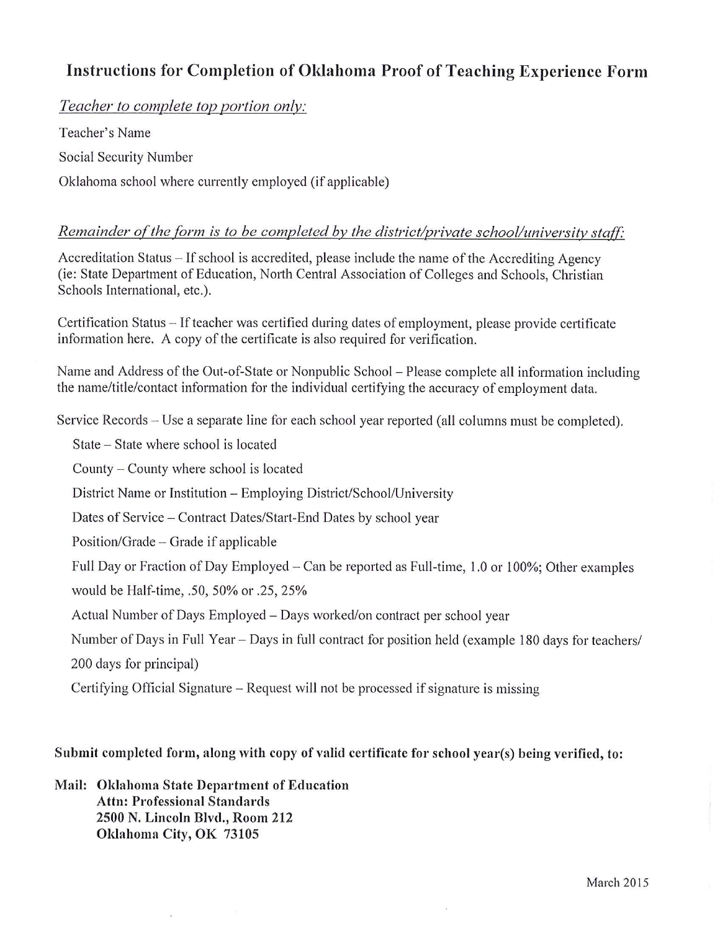## Instructions for Completion of Oklahoma Proof of Teaching Experience Form

Teacher to complete top portion only:

Teacher's Name Social Security Number Oklahoma school where currently employed (if applicable)

## Remainder of the form is to be completed by the district/private school/university staff:

Accreditation Status – If school is accredited, please include the name of the Accrediting Agency (ie: State Department of Education, North Central Association of Colleges and Schools, Christian Schools International, etc.).

Certification Status – If teacher was certified during dates of employment, please provide certificate information here. A copy of the certificate is also required for verification.

Name and Address of the Out-of-State or Nonpublic School – Please complete all information including the name/title/contact information for the individual certifying the accuracy of employment data.

Service Records – Use a separate line for each school year reported (all columns must be completed).

State – State where school is located

County – County where school is located

District Name or Institution – Employing District/School/University

Dates of Service - Contract Dates/Start-End Dates by school year

Position/Grade – Grade if applicable

Full Day or Fraction of Day Employed – Can be reported as Full-time, 1.0 or 100%; Other examples

would be Half-time, .50, 50% or .25, 25%

Actual Number of Days Employed - Days worked/on contract per school year

Number of Days in Full Year – Days in full contract for position held (example 180 days for teachers/ 200 days for principal)

Certifying Official Signature – Request will not be processed if signature is missing

## Submit completed form, along with copy of valid certificate for school year(s) being verified, to:

Mail: Oklahoma State Department of Education **Attn: Professional Standards** 2500 N. Lincoln Blvd., Room 212 Oklahoma City, OK 73105